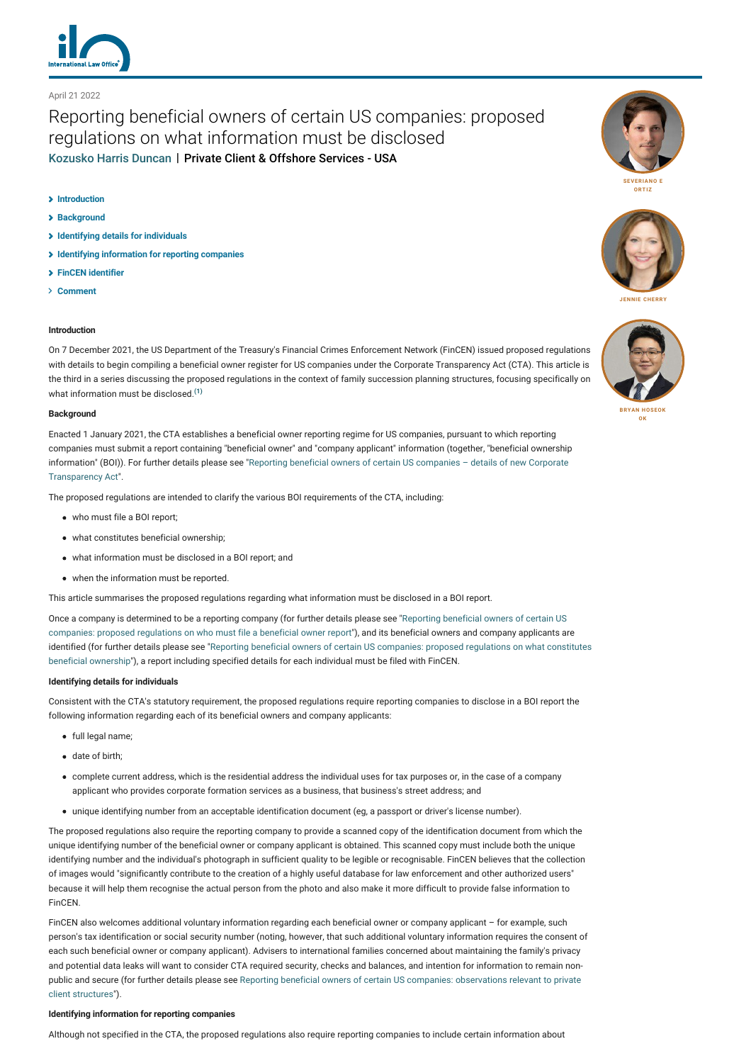

# April 21 2022

# Reporting beneficial owners of certain US companies: proposed regulations on what information must be disclosed [Kozusko Harris Duncan](http://lexology-legacy.lexology.svc.cluster.local/contributors/23364) | Private Client & Offshore Services - USA

## **[Introduction](#page-0-0)**

- **[Background](#page-0-1)**
- **[Identifying details for individuals](#page-0-2)**
- **[Identifying information for reporting companies](#page-0-3)**
- **[FinCEN identifier](#page-1-0)**
- **[Comment](#page-1-1)**

# <span id="page-0-0"></span>**Introduction**

On 7 December 2021, the US Department of the Treasury's Financial Crimes Enforcement Network (FinCEN) issued proposed regulations with details to begin compiling a beneficial owner register for US companies under the Corporate Transparency Act (CTA). This article is the third in a series discussing the proposed regulations in the context of family succession planning structures, focusing specifically on what information must be disclosed<sup>[\(1\)](#page-1-2)</sup>

#### <span id="page-0-1"></span>**Background**

Enacted 1 January 2021, the CTA establishes a beneficial owner reporting regime for US companies, pursuant to which reporting companies must submit a report containing "beneficial owner" and "company applicant" information (together, "beneficial ownership [information" \(BOI\)\). For further details please see "Reporting beneficial owners of certain US companies – details of new Corporate](https://www.lexology.com/commentary/private-client-offshore-services/usa/kozusko-harris-duncan/reporting-beneficial-owners-of-certain-us-companies-details-of-new-corporate-transparency-act) Transparency Act".

The proposed regulations are intended to clarify the various BOI requirements of the CTA, including:

- who must file a BOI report;
- what constitutes beneficial ownership;
- what information must be disclosed in a BOI report; and
- when the information must be reported.

This article summarises the proposed regulations regarding what information must be disclosed in a BOI report.

[Once a company is determined to be a reporting company \(for further details please see "Reporting beneficial owners of certain US](https://www.lexology.com/commentary/private-client-offshore-services/usa/kozusko-harris-duncan/reporting-beneficial-owners-of-certain-us-companies-proposed-regulations-on-who-must-file-beneficial-owner-report) companies: proposed regulations on who must file a beneficial owner report"), and its beneficial owners and company applicants are [identified \(for further details please see "Reporting beneficial owners of certain US companies: proposed regulations on what constitutes](https://www.lexology.com/commentary/private-client-offshore-services/usa/kozusko-harris-duncan/reporting-beneficial-owners-of-certain-us-companies-proposed-regulations-on-who-must-file-beneficial-owner-report) beneficial ownership"), a report including specified details for each individual must be filed with FinCEN.

#### <span id="page-0-2"></span>**Identifying details for individuals**

Consistent with the CTA's statutory requirement, the proposed regulations require reporting companies to disclose in a BOI report the following information regarding each of its beneficial owners and company applicants:

- full legal name;
- date of birth;
- complete current address, which is the residential address the individual uses for tax purposes or, in the case of a company applicant who provides corporate formation services as a business, that business's street address; and
- unique identifying number from an acceptable identification document (eg, a passport or driver's license number).

The proposed regulations also require the reporting company to provide a scanned copy of the identification document from which the unique identifying number of the beneficial owner or company applicant is obtained. This scanned copy must include both the unique identifying number and the individual's photograph in sufficient quality to be legible or recognisable. FinCEN believes that the collection of images would "significantly contribute to the creation of a highly useful database for law enforcement and other authorized users" because it will help them recognise the actual person from the photo and also make it more difficult to provide false information to FinCEN.

FinCEN also welcomes additional voluntary information regarding each beneficial owner or company applicant – for example, such person's tax identification or social security number (noting, however, that such additional voluntary information requires the consent of each such beneficial owner or company applicant). Advisers to international families concerned about maintaining the family's privacy and potential data leaks will want to consider CTA required security, checks and balances, and intention for information to remain non[public and secure \(for further details please see Reporting beneficial owners of certain US companies: observations relevant to private](https://www.lexology.com/commentary/private-client-offshore-services/usa/kozusko-harris-duncan/reporting-beneficial-owners-of-certain-us-companies-proposed-regulations-on-who-must-file-beneficial-owner-report) client structures").

## <span id="page-0-3"></span>**Identifying information for reporting companies**

Although not specified in the CTA, the proposed regulations also require reporting companies to include certain information about





**[JENNIE CHERRY](http://lexology-legacy.lexology.svc.cluster.local/23364/author/Jennie_Cherry/)**